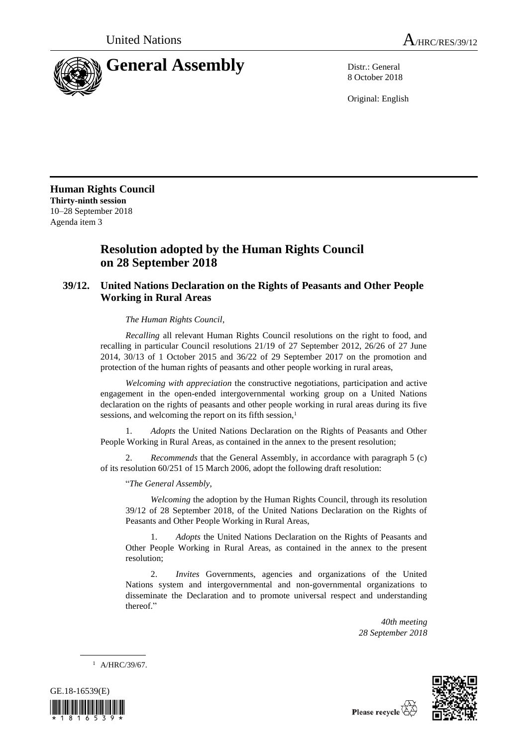

8 October 2018

Original: English

**Human Rights Council Thirty-ninth session** 10–28 September 2018 Agenda item 3

# **Resolution adopted by the Human Rights Council on 28 September 2018**

# **39/12. United Nations Declaration on the Rights of Peasants and Other People Working in Rural Areas**

*The Human Rights Council*,

*Recalling* all relevant Human Rights Council resolutions on the right to food, and recalling in particular Council resolutions 21/19 of 27 September 2012, 26/26 of 27 June 2014, 30/13 of 1 October 2015 and 36/22 of 29 September 2017 on the promotion and protection of the human rights of peasants and other people working in rural areas,

*Welcoming with appreciation* the constructive negotiations, participation and active engagement in the open-ended intergovernmental working group on a United Nations declaration on the rights of peasants and other people working in rural areas during its five sessions, and welcoming the report on its fifth session,<sup>1</sup>

1. *Adopts* the United Nations Declaration on the Rights of Peasants and Other People Working in Rural Areas, as contained in the annex to the present resolution;

2. *Recommends* that the General Assembly, in accordance with paragraph 5 (c) of its resolution 60/251 of 15 March 2006, adopt the following draft resolution:

"*The General Assembly*,

*Welcoming* the adoption by the Human Rights Council, through its resolution 39/12 of 28 September 2018, of the United Nations Declaration on the Rights of Peasants and Other People Working in Rural Areas,

1. *Adopts* the United Nations Declaration on the Rights of Peasants and Other People Working in Rural Areas, as contained in the annex to the present resolution;

2. *Invites* Governments, agencies and organizations of the United Nations system and intergovernmental and non-governmental organizations to disseminate the Declaration and to promote universal respect and understanding thereof."

> *40th meeting 28 September 2018*

Please recycle  $\overleftrightarrow{C}$ 





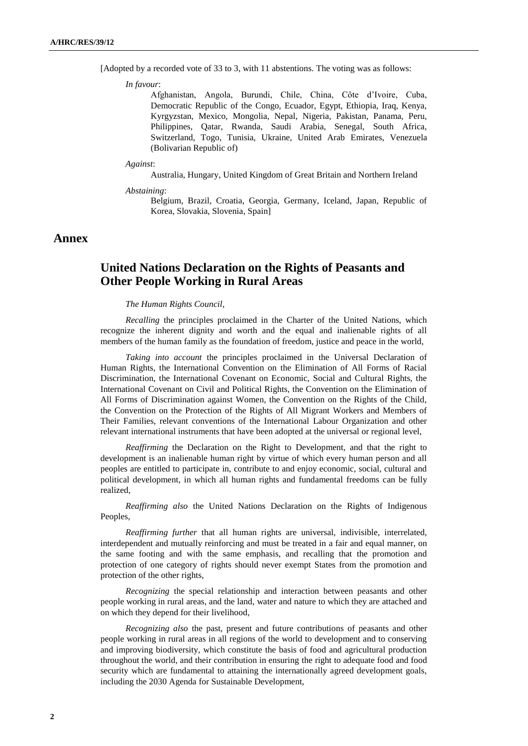[Adopted by a recorded vote of 33 to 3, with 11 abstentions. The voting was as follows:

*In favour*:

Afghanistan, Angola, Burundi, Chile, China, Côte d'Ivoire, Cuba, Democratic Republic of the Congo, Ecuador, Egypt, Ethiopia, Iraq, Kenya, Kyrgyzstan, Mexico, Mongolia, Nepal, Nigeria, Pakistan, Panama, Peru, Philippines, Qatar, Rwanda, Saudi Arabia, Senegal, South Africa, Switzerland, Togo, Tunisia, Ukraine, United Arab Emirates, Venezuela (Bolivarian Republic of)

#### *Against*:

Australia, Hungary, United Kingdom of Great Britain and Northern Ireland

#### *Abstaining*:

Belgium, Brazil, Croatia, Georgia, Germany, Iceland, Japan, Republic of Korea, Slovakia, Slovenia, Spain]

## **Annex**

# **United Nations Declaration on the Rights of Peasants and Other People Working in Rural Areas**

#### *The Human Rights Council*,

*Recalling* the principles proclaimed in the Charter of the United Nations, which recognize the inherent dignity and worth and the equal and inalienable rights of all members of the human family as the foundation of freedom, justice and peace in the world,

*Taking into account* the principles proclaimed in the Universal Declaration of Human Rights, the International Convention on the Elimination of All Forms of Racial Discrimination, the International Covenant on Economic, Social and Cultural Rights, the International Covenant on Civil and Political Rights, the Convention on the Elimination of All Forms of Discrimination against Women, the Convention on the Rights of the Child, the Convention on the Protection of the Rights of All Migrant Workers and Members of Their Families, relevant conventions of the International Labour Organization and other relevant international instruments that have been adopted at the universal or regional level,

*Reaffirming* the Declaration on the Right to Development, and that the right to development is an inalienable human right by virtue of which every human person and all peoples are entitled to participate in, contribute to and enjoy economic, social, cultural and political development, in which all human rights and fundamental freedoms can be fully realized,

*Reaffirming also* the United Nations Declaration on the Rights of Indigenous Peoples,

*Reaffirming further* that all human rights are universal, indivisible, interrelated, interdependent and mutually reinforcing and must be treated in a fair and equal manner, on the same footing and with the same emphasis, and recalling that the promotion and protection of one category of rights should never exempt States from the promotion and protection of the other rights,

*Recognizing* the special relationship and interaction between peasants and other people working in rural areas, and the land, water and nature to which they are attached and on which they depend for their livelihood,

*Recognizing also* the past, present and future contributions of peasants and other people working in rural areas in all regions of the world to development and to conserving and improving biodiversity, which constitute the basis of food and agricultural production throughout the world, and their contribution in ensuring the right to adequate food and food security which are fundamental to attaining the internationally agreed development goals, including the 2030 Agenda for Sustainable Development,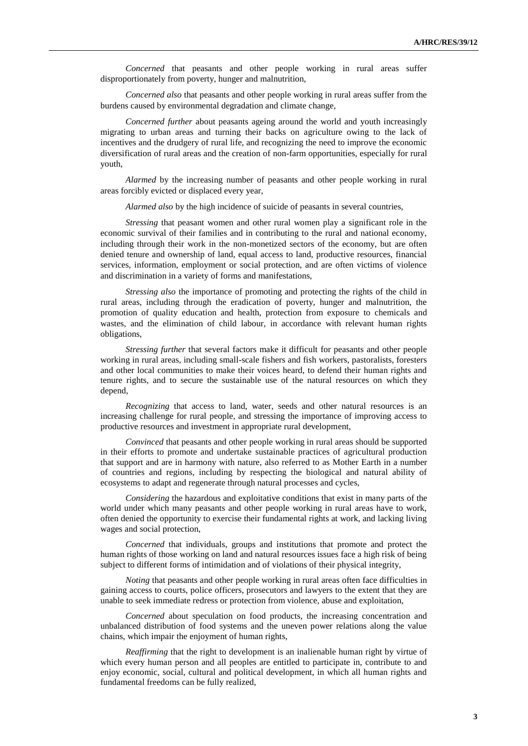*Concerned* that peasants and other people working in rural areas suffer disproportionately from poverty, hunger and malnutrition,

*Concerned also* that peasants and other people working in rural areas suffer from the burdens caused by environmental degradation and climate change,

*Concerned further* about peasants ageing around the world and youth increasingly migrating to urban areas and turning their backs on agriculture owing to the lack of incentives and the drudgery of rural life, and recognizing the need to improve the economic diversification of rural areas and the creation of non-farm opportunities, especially for rural youth,

*Alarmed* by the increasing number of peasants and other people working in rural areas forcibly evicted or displaced every year,

*Alarmed also* by the high incidence of suicide of peasants in several countries,

*Stressing* that peasant women and other rural women play a significant role in the economic survival of their families and in contributing to the rural and national economy, including through their work in the non-monetized sectors of the economy, but are often denied tenure and ownership of land, equal access to land, productive resources, financial services, information, employment or social protection, and are often victims of violence and discrimination in a variety of forms and manifestations,

*Stressing also* the importance of promoting and protecting the rights of the child in rural areas, including through the eradication of poverty, hunger and malnutrition, the promotion of quality education and health, protection from exposure to chemicals and wastes, and the elimination of child labour, in accordance with relevant human rights obligations,

*Stressing further* that several factors make it difficult for peasants and other people working in rural areas, including small-scale fishers and fish workers, pastoralists, foresters and other local communities to make their voices heard, to defend their human rights and tenure rights, and to secure the sustainable use of the natural resources on which they depend,

*Recognizing* that access to land, water, seeds and other natural resources is an increasing challenge for rural people, and stressing the importance of improving access to productive resources and investment in appropriate rural development,

*Convinced* that peasants and other people working in rural areas should be supported in their efforts to promote and undertake sustainable practices of agricultural production that support and are in harmony with nature, also referred to as Mother Earth in a number of countries and regions, including by respecting the biological and natural ability of ecosystems to adapt and regenerate through natural processes and cycles,

*Considering* the hazardous and exploitative conditions that exist in many parts of the world under which many peasants and other people working in rural areas have to work, often denied the opportunity to exercise their fundamental rights at work, and lacking living wages and social protection,

*Concerned* that individuals, groups and institutions that promote and protect the human rights of those working on land and natural resources issues face a high risk of being subject to different forms of intimidation and of violations of their physical integrity,

*Noting* that peasants and other people working in rural areas often face difficulties in gaining access to courts, police officers, prosecutors and lawyers to the extent that they are unable to seek immediate redress or protection from violence, abuse and exploitation,

*Concerned* about speculation on food products, the increasing concentration and unbalanced distribution of food systems and the uneven power relations along the value chains, which impair the enjoyment of human rights,

*Reaffirming* that the right to development is an inalienable human right by virtue of which every human person and all peoples are entitled to participate in, contribute to and enjoy economic, social, cultural and political development, in which all human rights and fundamental freedoms can be fully realized,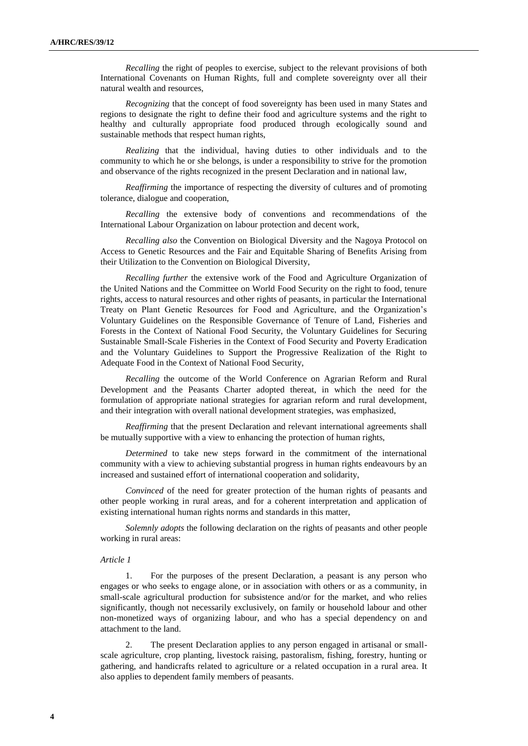*Recalling* the right of peoples to exercise, subject to the relevant provisions of both International Covenants on Human Rights, full and complete sovereignty over all their natural wealth and resources,

*Recognizing* that the concept of food sovereignty has been used in many States and regions to designate the right to define their food and agriculture systems and the right to healthy and culturally appropriate food produced through ecologically sound and sustainable methods that respect human rights,

*Realizing* that the individual, having duties to other individuals and to the community to which he or she belongs, is under a responsibility to strive for the promotion and observance of the rights recognized in the present Declaration and in national law,

*Reaffirming* the importance of respecting the diversity of cultures and of promoting tolerance, dialogue and cooperation,

*Recalling* the extensive body of conventions and recommendations of the International Labour Organization on labour protection and decent work,

*Recalling also* the Convention on Biological Diversity and the Nagoya Protocol on Access to Genetic Resources and the Fair and Equitable Sharing of Benefits Arising from their Utilization to the Convention on Biological Diversity,

*Recalling further* the extensive work of the Food and Agriculture Organization of the United Nations and the Committee on World Food Security on the right to food, tenure rights, access to natural resources and other rights of peasants, in particular the International Treaty on Plant Genetic Resources for Food and Agriculture, and the Organization's Voluntary Guidelines on the Responsible Governance of Tenure of Land, Fisheries and Forests in the Context of National Food Security, the Voluntary Guidelines for Securing Sustainable Small-Scale Fisheries in the Context of Food Security and Poverty Eradication and the Voluntary Guidelines to Support the Progressive Realization of the Right to Adequate Food in the Context of National Food Security,

*Recalling* the outcome of the World Conference on Agrarian Reform and Rural Development and the Peasants Charter adopted thereat, in which the need for the formulation of appropriate national strategies for agrarian reform and rural development, and their integration with overall national development strategies, was emphasized,

*Reaffirming* that the present Declaration and relevant international agreements shall be mutually supportive with a view to enhancing the protection of human rights,

*Determined* to take new steps forward in the commitment of the international community with a view to achieving substantial progress in human rights endeavours by an increased and sustained effort of international cooperation and solidarity,

*Convinced* of the need for greater protection of the human rights of peasants and other people working in rural areas, and for a coherent interpretation and application of existing international human rights norms and standards in this matter,

*Solemnly adopts* the following declaration on the rights of peasants and other people working in rural areas:

#### *Article 1*

1. For the purposes of the present Declaration, a peasant is any person who engages or who seeks to engage alone, or in association with others or as a community, in small-scale agricultural production for subsistence and/or for the market, and who relies significantly, though not necessarily exclusively, on family or household labour and other non-monetized ways of organizing labour, and who has a special dependency on and attachment to the land.

The present Declaration applies to any person engaged in artisanal or smallscale agriculture, crop planting, livestock raising, pastoralism, fishing, forestry, hunting or gathering, and handicrafts related to agriculture or a related occupation in a rural area. It also applies to dependent family members of peasants.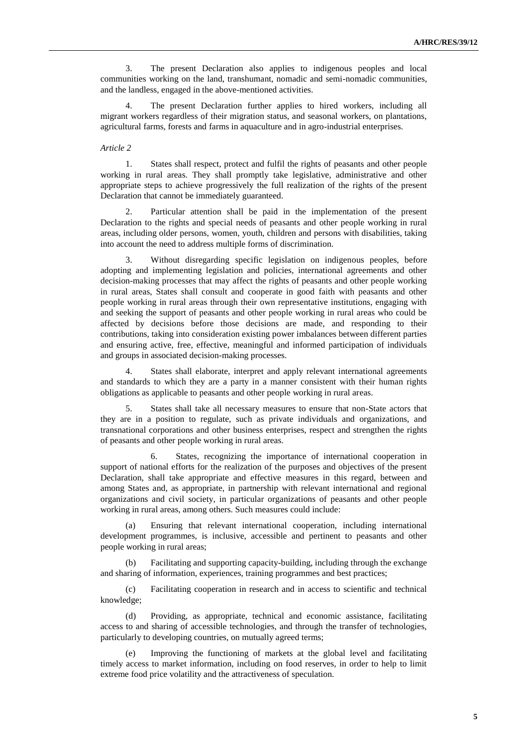3. The present Declaration also applies to indigenous peoples and local communities working on the land, transhumant, nomadic and semi-nomadic communities, and the landless, engaged in the above-mentioned activities.

4. The present Declaration further applies to hired workers, including all migrant workers regardless of their migration status, and seasonal workers, on plantations, agricultural farms, forests and farms in aquaculture and in agro-industrial enterprises.

## *Article 2*

1. States shall respect, protect and fulfil the rights of peasants and other people working in rural areas. They shall promptly take legislative, administrative and other appropriate steps to achieve progressively the full realization of the rights of the present Declaration that cannot be immediately guaranteed.

2. Particular attention shall be paid in the implementation of the present Declaration to the rights and special needs of peasants and other people working in rural areas, including older persons, women, youth, children and persons with disabilities, taking into account the need to address multiple forms of discrimination.

3. Without disregarding specific legislation on indigenous peoples, before adopting and implementing legislation and policies, international agreements and other decision-making processes that may affect the rights of peasants and other people working in rural areas, States shall consult and cooperate in good faith with peasants and other people working in rural areas through their own representative institutions, engaging with and seeking the support of peasants and other people working in rural areas who could be affected by decisions before those decisions are made, and responding to their contributions, taking into consideration existing power imbalances between different parties and ensuring active, free, effective, meaningful and informed participation of individuals and groups in associated decision-making processes.

4. States shall elaborate, interpret and apply relevant international agreements and standards to which they are a party in a manner consistent with their human rights obligations as applicable to peasants and other people working in rural areas.

5. States shall take all necessary measures to ensure that non-State actors that they are in a position to regulate, such as private individuals and organizations, and transnational corporations and other business enterprises, respect and strengthen the rights of peasants and other people working in rural areas.

6. States, recognizing the importance of international cooperation in support of national efforts for the realization of the purposes and objectives of the present Declaration, shall take appropriate and effective measures in this regard, between and among States and, as appropriate, in partnership with relevant international and regional organizations and civil society, in particular organizations of peasants and other people working in rural areas, among others. Such measures could include:

(a) Ensuring that relevant international cooperation, including international development programmes, is inclusive, accessible and pertinent to peasants and other people working in rural areas;

(b) Facilitating and supporting capacity-building, including through the exchange and sharing of information, experiences, training programmes and best practices;

(c) Facilitating cooperation in research and in access to scientific and technical knowledge;

(d) Providing, as appropriate, technical and economic assistance, facilitating access to and sharing of accessible technologies, and through the transfer of technologies, particularly to developing countries, on mutually agreed terms;

Improving the functioning of markets at the global level and facilitating timely access to market information, including on food reserves, in order to help to limit extreme food price volatility and the attractiveness of speculation.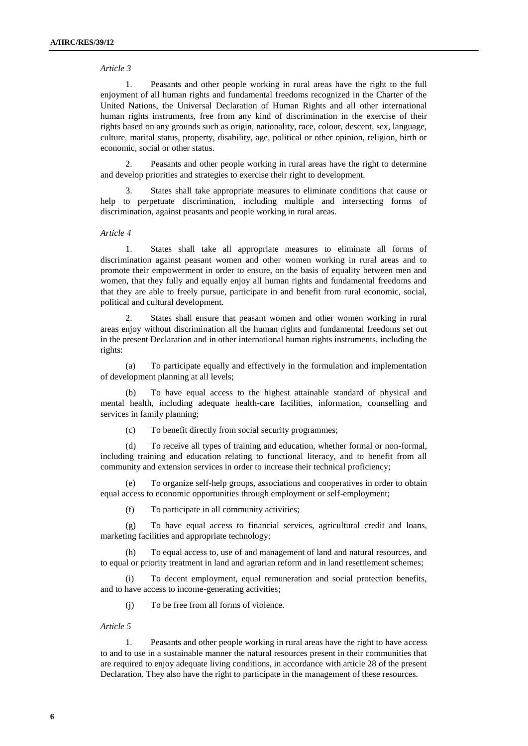## *Article 3*

1. Peasants and other people working in rural areas have the right to the full enjoyment of all human rights and fundamental freedoms recognized in the Charter of the United Nations, the Universal Declaration of Human Rights and all other international human rights instruments, free from any kind of discrimination in the exercise of their rights based on any grounds such as origin, nationality, race, colour, descent, sex, language, culture, marital status, property, disability, age, political or other opinion, religion, birth or economic, social or other status.

Peasants and other people working in rural areas have the right to determine and develop priorities and strategies to exercise their right to development.

3. States shall take appropriate measures to eliminate conditions that cause or help to perpetuate discrimination, including multiple and intersecting forms of discrimination, against peasants and people working in rural areas.

#### *Article 4*

1. States shall take all appropriate measures to eliminate all forms of discrimination against peasant women and other women working in rural areas and to promote their empowerment in order to ensure, on the basis of equality between men and women, that they fully and equally enjoy all human rights and fundamental freedoms and that they are able to freely pursue, participate in and benefit from rural economic, social, political and cultural development.

States shall ensure that peasant women and other women working in rural areas enjoy without discrimination all the human rights and fundamental freedoms set out in the present Declaration and in other international human rights instruments, including the rights:

(a) To participate equally and effectively in the formulation and implementation of development planning at all levels;

(b) To have equal access to the highest attainable standard of physical and mental health, including adequate health-care facilities, information, counselling and services in family planning;

(c) To benefit directly from social security programmes;

(d) To receive all types of training and education, whether formal or non-formal, including training and education relating to functional literacy, and to benefit from all community and extension services in order to increase their technical proficiency;

(e) To organize self-help groups, associations and cooperatives in order to obtain equal access to economic opportunities through employment or self-employment;

(f) To participate in all community activities;

(g) To have equal access to financial services, agricultural credit and loans, marketing facilities and appropriate technology;

To equal access to, use of and management of land and natural resources, and to equal or priority treatment in land and agrarian reform and in land resettlement schemes;

(i) To decent employment, equal remuneration and social protection benefits, and to have access to income-generating activities;

(j) To be free from all forms of violence.

## *Article 5*

1. Peasants and other people working in rural areas have the right to have access to and to use in a sustainable manner the natural resources present in their communities that are required to enjoy adequate living conditions, in accordance with article 28 of the present Declaration. They also have the right to participate in the management of these resources.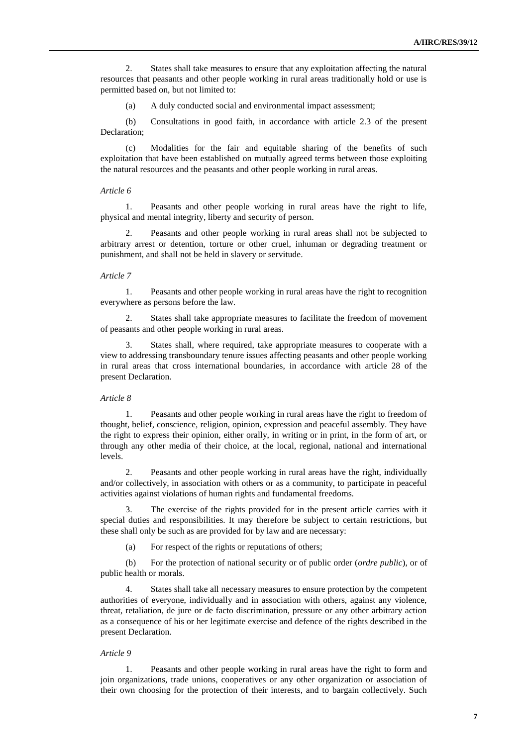2. States shall take measures to ensure that any exploitation affecting the natural resources that peasants and other people working in rural areas traditionally hold or use is permitted based on, but not limited to:

(a) A duly conducted social and environmental impact assessment;

(b) Consultations in good faith, in accordance with article 2.3 of the present Declaration;

(c) Modalities for the fair and equitable sharing of the benefits of such exploitation that have been established on mutually agreed terms between those exploiting the natural resources and the peasants and other people working in rural areas.

#### *Article 6*

1. Peasants and other people working in rural areas have the right to life, physical and mental integrity, liberty and security of person.

Peasants and other people working in rural areas shall not be subjected to arbitrary arrest or detention, torture or other cruel, inhuman or degrading treatment or punishment, and shall not be held in slavery or servitude.

#### *Article 7*

1. Peasants and other people working in rural areas have the right to recognition everywhere as persons before the law.

States shall take appropriate measures to facilitate the freedom of movement of peasants and other people working in rural areas.

3. States shall, where required, take appropriate measures to cooperate with a view to addressing transboundary tenure issues affecting peasants and other people working in rural areas that cross international boundaries, in accordance with article 28 of the present Declaration.

#### *Article 8*

1. Peasants and other people working in rural areas have the right to freedom of thought, belief, conscience, religion, opinion, expression and peaceful assembly. They have the right to express their opinion, either orally, in writing or in print, in the form of art, or through any other media of their choice, at the local, regional, national and international levels.

2. Peasants and other people working in rural areas have the right, individually and/or collectively, in association with others or as a community, to participate in peaceful activities against violations of human rights and fundamental freedoms.

3. The exercise of the rights provided for in the present article carries with it special duties and responsibilities. It may therefore be subject to certain restrictions, but these shall only be such as are provided for by law and are necessary:

(a) For respect of the rights or reputations of others;

(b) For the protection of national security or of public order (*ordre public*), or of public health or morals.

4. States shall take all necessary measures to ensure protection by the competent authorities of everyone, individually and in association with others, against any violence, threat, retaliation, de jure or de facto discrimination, pressure or any other arbitrary action as a consequence of his or her legitimate exercise and defence of the rights described in the present Declaration.

#### *Article 9*

1. Peasants and other people working in rural areas have the right to form and join organizations, trade unions, cooperatives or any other organization or association of their own choosing for the protection of their interests, and to bargain collectively. Such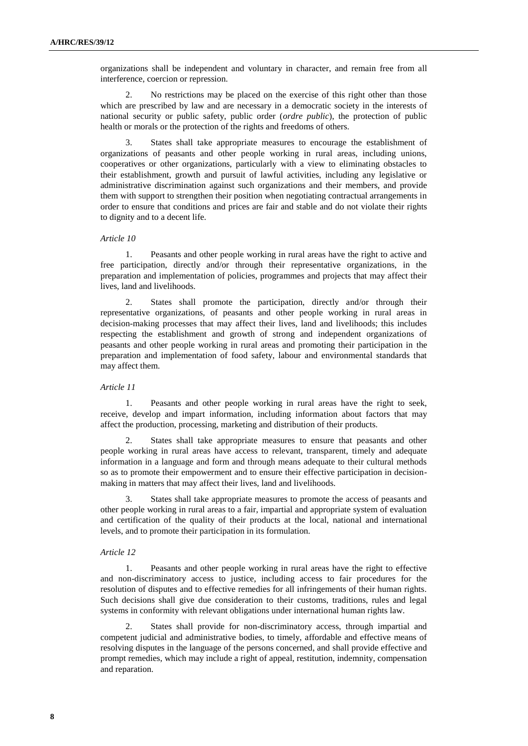organizations shall be independent and voluntary in character, and remain free from all interference, coercion or repression.

2. No restrictions may be placed on the exercise of this right other than those which are prescribed by law and are necessary in a democratic society in the interests of national security or public safety, public order (*ordre public*), the protection of public health or morals or the protection of the rights and freedoms of others.

3. States shall take appropriate measures to encourage the establishment of organizations of peasants and other people working in rural areas, including unions, cooperatives or other organizations, particularly with a view to eliminating obstacles to their establishment, growth and pursuit of lawful activities, including any legislative or administrative discrimination against such organizations and their members, and provide them with support to strengthen their position when negotiating contractual arrangements in order to ensure that conditions and prices are fair and stable and do not violate their rights to dignity and to a decent life.

### *Article 10*

1. Peasants and other people working in rural areas have the right to active and free participation, directly and/or through their representative organizations, in the preparation and implementation of policies, programmes and projects that may affect their lives, land and livelihoods.

2. States shall promote the participation, directly and/or through their representative organizations, of peasants and other people working in rural areas in decision-making processes that may affect their lives, land and livelihoods; this includes respecting the establishment and growth of strong and independent organizations of peasants and other people working in rural areas and promoting their participation in the preparation and implementation of food safety, labour and environmental standards that may affect them.

### *Article 11*

1. Peasants and other people working in rural areas have the right to seek, receive, develop and impart information, including information about factors that may affect the production, processing, marketing and distribution of their products.

2. States shall take appropriate measures to ensure that peasants and other people working in rural areas have access to relevant, transparent, timely and adequate information in a language and form and through means adequate to their cultural methods so as to promote their empowerment and to ensure their effective participation in decisionmaking in matters that may affect their lives, land and livelihoods.

3. States shall take appropriate measures to promote the access of peasants and other people working in rural areas to a fair, impartial and appropriate system of evaluation and certification of the quality of their products at the local, national and international levels, and to promote their participation in its formulation.

#### *Article 12*

1. Peasants and other people working in rural areas have the right to effective and non-discriminatory access to justice, including access to fair procedures for the resolution of disputes and to effective remedies for all infringements of their human rights. Such decisions shall give due consideration to their customs, traditions, rules and legal systems in conformity with relevant obligations under international human rights law.

2. States shall provide for non-discriminatory access, through impartial and competent judicial and administrative bodies, to timely, affordable and effective means of resolving disputes in the language of the persons concerned, and shall provide effective and prompt remedies, which may include a right of appeal, restitution, indemnity, compensation and reparation.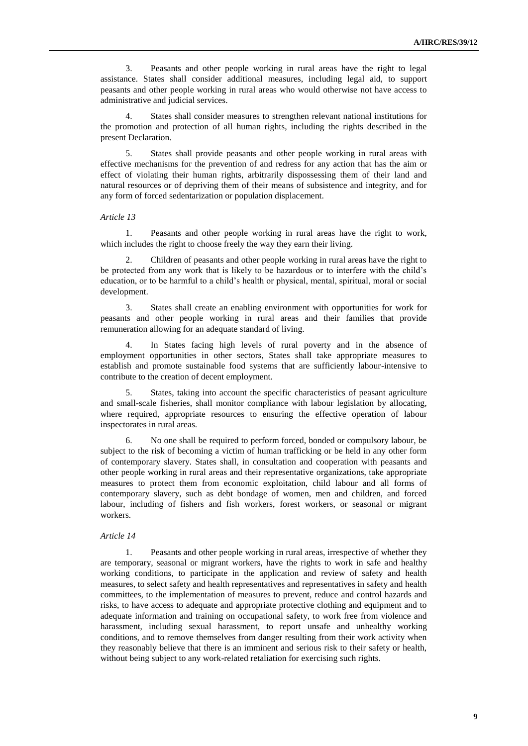3. Peasants and other people working in rural areas have the right to legal assistance. States shall consider additional measures, including legal aid, to support peasants and other people working in rural areas who would otherwise not have access to administrative and judicial services.

States shall consider measures to strengthen relevant national institutions for the promotion and protection of all human rights, including the rights described in the present Declaration.

5. States shall provide peasants and other people working in rural areas with effective mechanisms for the prevention of and redress for any action that has the aim or effect of violating their human rights, arbitrarily dispossessing them of their land and natural resources or of depriving them of their means of subsistence and integrity, and for any form of forced sedentarization or population displacement.

### *Article 13*

1. Peasants and other people working in rural areas have the right to work, which includes the right to choose freely the way they earn their living.

2. Children of peasants and other people working in rural areas have the right to be protected from any work that is likely to be hazardous or to interfere with the child's education, or to be harmful to a child's health or physical, mental, spiritual, moral or social development.

3. States shall create an enabling environment with opportunities for work for peasants and other people working in rural areas and their families that provide remuneration allowing for an adequate standard of living.

4. In States facing high levels of rural poverty and in the absence of employment opportunities in other sectors, States shall take appropriate measures to establish and promote sustainable food systems that are sufficiently labour-intensive to contribute to the creation of decent employment.

States, taking into account the specific characteristics of peasant agriculture and small-scale fisheries, shall monitor compliance with labour legislation by allocating, where required, appropriate resources to ensuring the effective operation of labour inspectorates in rural areas.

6. No one shall be required to perform forced, bonded or compulsory labour, be subject to the risk of becoming a victim of human trafficking or be held in any other form of contemporary slavery. States shall, in consultation and cooperation with peasants and other people working in rural areas and their representative organizations, take appropriate measures to protect them from economic exploitation, child labour and all forms of contemporary slavery, such as debt bondage of women, men and children, and forced labour, including of fishers and fish workers, forest workers, or seasonal or migrant workers.

#### *Article 14*

1. Peasants and other people working in rural areas, irrespective of whether they are temporary, seasonal or migrant workers, have the rights to work in safe and healthy working conditions, to participate in the application and review of safety and health measures, to select safety and health representatives and representatives in safety and health committees, to the implementation of measures to prevent, reduce and control hazards and risks, to have access to adequate and appropriate protective clothing and equipment and to adequate information and training on occupational safety, to work free from violence and harassment, including sexual harassment, to report unsafe and unhealthy working conditions, and to remove themselves from danger resulting from their work activity when they reasonably believe that there is an imminent and serious risk to their safety or health, without being subject to any work-related retaliation for exercising such rights.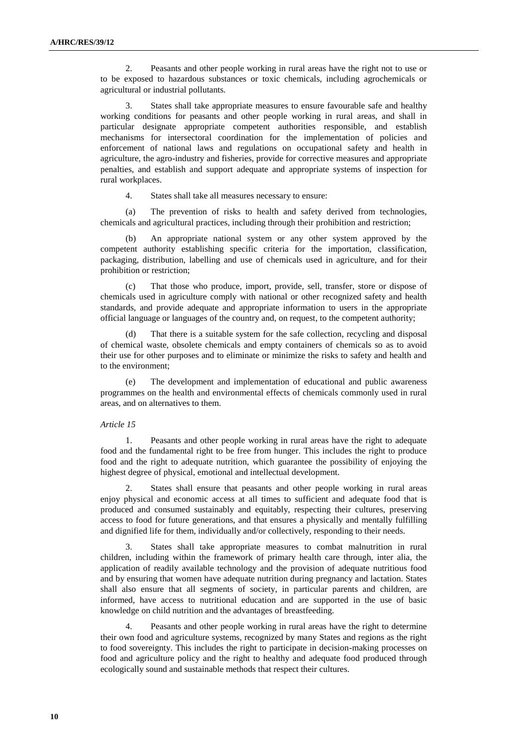2. Peasants and other people working in rural areas have the right not to use or to be exposed to hazardous substances or toxic chemicals, including agrochemicals or agricultural or industrial pollutants.

3. States shall take appropriate measures to ensure favourable safe and healthy working conditions for peasants and other people working in rural areas, and shall in particular designate appropriate competent authorities responsible, and establish mechanisms for intersectoral coordination for the implementation of policies and enforcement of national laws and regulations on occupational safety and health in agriculture, the agro-industry and fisheries, provide for corrective measures and appropriate penalties, and establish and support adequate and appropriate systems of inspection for rural workplaces.

4. States shall take all measures necessary to ensure:

(a) The prevention of risks to health and safety derived from technologies, chemicals and agricultural practices, including through their prohibition and restriction;

An appropriate national system or any other system approved by the competent authority establishing specific criteria for the importation, classification, packaging, distribution, labelling and use of chemicals used in agriculture, and for their prohibition or restriction;

(c) That those who produce, import, provide, sell, transfer, store or dispose of chemicals used in agriculture comply with national or other recognized safety and health standards, and provide adequate and appropriate information to users in the appropriate official language or languages of the country and, on request, to the competent authority;

(d) That there is a suitable system for the safe collection, recycling and disposal of chemical waste, obsolete chemicals and empty containers of chemicals so as to avoid their use for other purposes and to eliminate or minimize the risks to safety and health and to the environment;

(e) The development and implementation of educational and public awareness programmes on the health and environmental effects of chemicals commonly used in rural areas, and on alternatives to them.

#### *Article 15*

1. Peasants and other people working in rural areas have the right to adequate food and the fundamental right to be free from hunger. This includes the right to produce food and the right to adequate nutrition, which guarantee the possibility of enjoying the highest degree of physical, emotional and intellectual development.

2. States shall ensure that peasants and other people working in rural areas enjoy physical and economic access at all times to sufficient and adequate food that is produced and consumed sustainably and equitably, respecting their cultures, preserving access to food for future generations, and that ensures a physically and mentally fulfilling and dignified life for them, individually and/or collectively, responding to their needs.

States shall take appropriate measures to combat malnutrition in rural children, including within the framework of primary health care through, inter alia, the application of readily available technology and the provision of adequate nutritious food and by ensuring that women have adequate nutrition during pregnancy and lactation. States shall also ensure that all segments of society, in particular parents and children, are informed, have access to nutritional education and are supported in the use of basic knowledge on child nutrition and the advantages of breastfeeding.

Peasants and other people working in rural areas have the right to determine their own food and agriculture systems, recognized by many States and regions as the right to food sovereignty. This includes the right to participate in decision-making processes on food and agriculture policy and the right to healthy and adequate food produced through ecologically sound and sustainable methods that respect their cultures.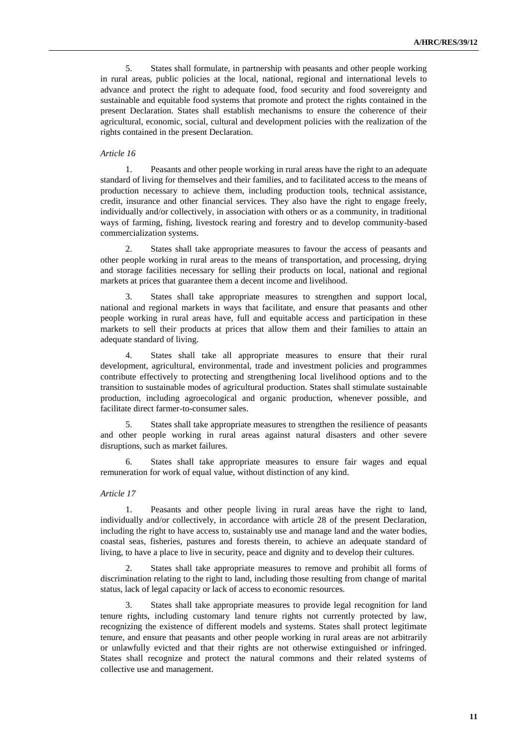5. States shall formulate, in partnership with peasants and other people working in rural areas, public policies at the local, national, regional and international levels to advance and protect the right to adequate food, food security and food sovereignty and sustainable and equitable food systems that promote and protect the rights contained in the present Declaration. States shall establish mechanisms to ensure the coherence of their agricultural, economic, social, cultural and development policies with the realization of the rights contained in the present Declaration.

## *Article 16*

1. Peasants and other people working in rural areas have the right to an adequate standard of living for themselves and their families, and to facilitated access to the means of production necessary to achieve them, including production tools, technical assistance, credit, insurance and other financial services. They also have the right to engage freely, individually and/or collectively, in association with others or as a community, in traditional ways of farming, fishing, livestock rearing and forestry and to develop community-based commercialization systems.

2. States shall take appropriate measures to favour the access of peasants and other people working in rural areas to the means of transportation, and processing, drying and storage facilities necessary for selling their products on local, national and regional markets at prices that guarantee them a decent income and livelihood.

3. States shall take appropriate measures to strengthen and support local, national and regional markets in ways that facilitate, and ensure that peasants and other people working in rural areas have, full and equitable access and participation in these markets to sell their products at prices that allow them and their families to attain an adequate standard of living.

4. States shall take all appropriate measures to ensure that their rural development, agricultural, environmental, trade and investment policies and programmes contribute effectively to protecting and strengthening local livelihood options and to the transition to sustainable modes of agricultural production. States shall stimulate sustainable production, including agroecological and organic production, whenever possible, and facilitate direct farmer-to-consumer sales.

5. States shall take appropriate measures to strengthen the resilience of peasants and other people working in rural areas against natural disasters and other severe disruptions, such as market failures.

6. States shall take appropriate measures to ensure fair wages and equal remuneration for work of equal value, without distinction of any kind.

#### *Article 17*

1. Peasants and other people living in rural areas have the right to land, individually and/or collectively, in accordance with article 28 of the present Declaration, including the right to have access to, sustainably use and manage land and the water bodies, coastal seas, fisheries, pastures and forests therein, to achieve an adequate standard of living, to have a place to live in security, peace and dignity and to develop their cultures.

2. States shall take appropriate measures to remove and prohibit all forms of discrimination relating to the right to land, including those resulting from change of marital status, lack of legal capacity or lack of access to economic resources.

3. States shall take appropriate measures to provide legal recognition for land tenure rights, including customary land tenure rights not currently protected by law, recognizing the existence of different models and systems. States shall protect legitimate tenure, and ensure that peasants and other people working in rural areas are not arbitrarily or unlawfully evicted and that their rights are not otherwise extinguished or infringed. States shall recognize and protect the natural commons and their related systems of collective use and management.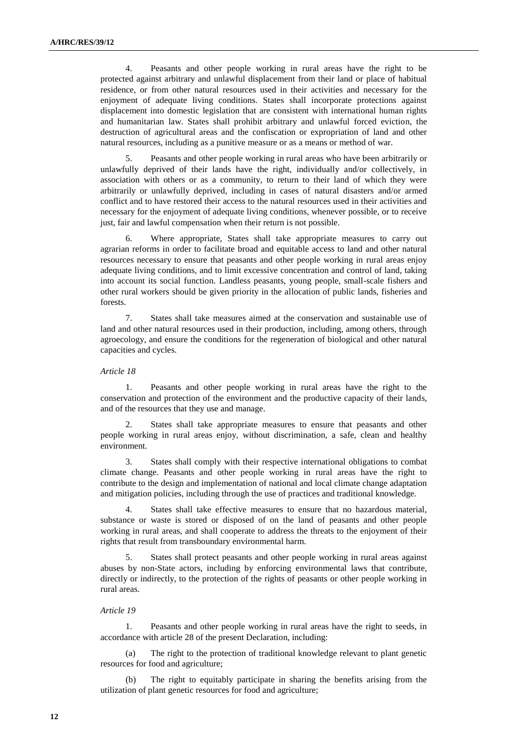4. Peasants and other people working in rural areas have the right to be protected against arbitrary and unlawful displacement from their land or place of habitual residence, or from other natural resources used in their activities and necessary for the enjoyment of adequate living conditions. States shall incorporate protections against displacement into domestic legislation that are consistent with international human rights and humanitarian law. States shall prohibit arbitrary and unlawful forced eviction, the destruction of agricultural areas and the confiscation or expropriation of land and other natural resources, including as a punitive measure or as a means or method of war.

5. Peasants and other people working in rural areas who have been arbitrarily or unlawfully deprived of their lands have the right, individually and/or collectively, in association with others or as a community, to return to their land of which they were arbitrarily or unlawfully deprived, including in cases of natural disasters and/or armed conflict and to have restored their access to the natural resources used in their activities and necessary for the enjoyment of adequate living conditions, whenever possible, or to receive just, fair and lawful compensation when their return is not possible.

Where appropriate, States shall take appropriate measures to carry out agrarian reforms in order to facilitate broad and equitable access to land and other natural resources necessary to ensure that peasants and other people working in rural areas enjoy adequate living conditions, and to limit excessive concentration and control of land, taking into account its social function. Landless peasants, young people, small-scale fishers and other rural workers should be given priority in the allocation of public lands, fisheries and forests.

7. States shall take measures aimed at the conservation and sustainable use of land and other natural resources used in their production, including, among others, through agroecology, and ensure the conditions for the regeneration of biological and other natural capacities and cycles.

#### *Article 18*

1. Peasants and other people working in rural areas have the right to the conservation and protection of the environment and the productive capacity of their lands, and of the resources that they use and manage.

2. States shall take appropriate measures to ensure that peasants and other people working in rural areas enjoy, without discrimination, a safe, clean and healthy environment.

3. States shall comply with their respective international obligations to combat climate change. Peasants and other people working in rural areas have the right to contribute to the design and implementation of national and local climate change adaptation and mitigation policies, including through the use of practices and traditional knowledge.

4. States shall take effective measures to ensure that no hazardous material, substance or waste is stored or disposed of on the land of peasants and other people working in rural areas, and shall cooperate to address the threats to the enjoyment of their rights that result from transboundary environmental harm.

5. States shall protect peasants and other people working in rural areas against abuses by non-State actors, including by enforcing environmental laws that contribute, directly or indirectly, to the protection of the rights of peasants or other people working in rural areas.

## *Article 19*

1. Peasants and other people working in rural areas have the right to seeds, in accordance with article 28 of the present Declaration, including:

(a) The right to the protection of traditional knowledge relevant to plant genetic resources for food and agriculture;

(b) The right to equitably participate in sharing the benefits arising from the utilization of plant genetic resources for food and agriculture;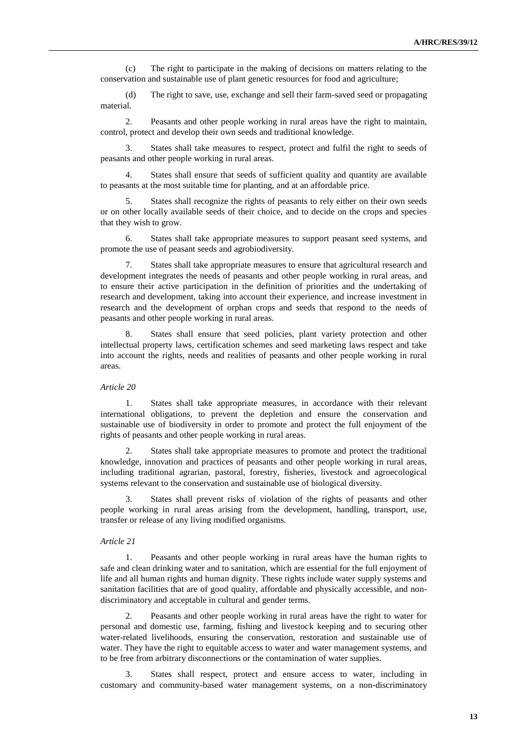(c) The right to participate in the making of decisions on matters relating to the conservation and sustainable use of plant genetic resources for food and agriculture;

(d) The right to save, use, exchange and sell their farm-saved seed or propagating material.

2. Peasants and other people working in rural areas have the right to maintain, control, protect and develop their own seeds and traditional knowledge.

3. States shall take measures to respect, protect and fulfil the right to seeds of peasants and other people working in rural areas.

4. States shall ensure that seeds of sufficient quality and quantity are available to peasants at the most suitable time for planting, and at an affordable price.

5. States shall recognize the rights of peasants to rely either on their own seeds or on other locally available seeds of their choice, and to decide on the crops and species that they wish to grow.

6. States shall take appropriate measures to support peasant seed systems, and promote the use of peasant seeds and agrobiodiversity.

7. States shall take appropriate measures to ensure that agricultural research and development integrates the needs of peasants and other people working in rural areas, and to ensure their active participation in the definition of priorities and the undertaking of research and development, taking into account their experience, and increase investment in research and the development of orphan crops and seeds that respond to the needs of peasants and other people working in rural areas.

8. States shall ensure that seed policies, plant variety protection and other intellectual property laws, certification schemes and seed marketing laws respect and take into account the rights, needs and realities of peasants and other people working in rural areas.

## *Article 20*

1. States shall take appropriate measures, in accordance with their relevant international obligations, to prevent the depletion and ensure the conservation and sustainable use of biodiversity in order to promote and protect the full enjoyment of the rights of peasants and other people working in rural areas.

States shall take appropriate measures to promote and protect the traditional knowledge, innovation and practices of peasants and other people working in rural areas, including traditional agrarian, pastoral, forestry, fisheries, livestock and agroecological systems relevant to the conservation and sustainable use of biological diversity.

3. States shall prevent risks of violation of the rights of peasants and other people working in rural areas arising from the development, handling, transport, use, transfer or release of any living modified organisms.

#### *Article 21*

1. Peasants and other people working in rural areas have the human rights to safe and clean drinking water and to sanitation, which are essential for the full enjoyment of life and all human rights and human dignity. These rights include water supply systems and sanitation facilities that are of good quality, affordable and physically accessible, and nondiscriminatory and acceptable in cultural and gender terms.

Peasants and other people working in rural areas have the right to water for personal and domestic use, farming, fishing and livestock keeping and to securing other water-related livelihoods, ensuring the conservation, restoration and sustainable use of water. They have the right to equitable access to water and water management systems, and to be free from arbitrary disconnections or the contamination of water supplies.

3. States shall respect, protect and ensure access to water, including in customary and community-based water management systems, on a non-discriminatory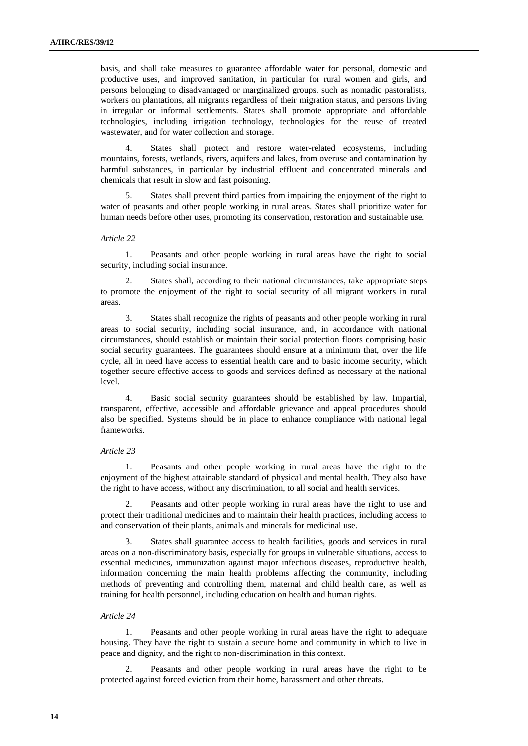basis, and shall take measures to guarantee affordable water for personal, domestic and productive uses, and improved sanitation, in particular for rural women and girls, and persons belonging to disadvantaged or marginalized groups, such as nomadic pastoralists, workers on plantations, all migrants regardless of their migration status, and persons living in irregular or informal settlements. States shall promote appropriate and affordable technologies, including irrigation technology, technologies for the reuse of treated wastewater, and for water collection and storage.

4. States shall protect and restore water-related ecosystems, including mountains, forests, wetlands, rivers, aquifers and lakes, from overuse and contamination by harmful substances, in particular by industrial effluent and concentrated minerals and chemicals that result in slow and fast poisoning.

States shall prevent third parties from impairing the enjoyment of the right to water of peasants and other people working in rural areas. States shall prioritize water for human needs before other uses, promoting its conservation, restoration and sustainable use.

#### *Article 22*

1. Peasants and other people working in rural areas have the right to social security, including social insurance.

2. States shall, according to their national circumstances, take appropriate steps to promote the enjoyment of the right to social security of all migrant workers in rural areas.

3. States shall recognize the rights of peasants and other people working in rural areas to social security, including social insurance, and, in accordance with national circumstances, should establish or maintain their social protection floors comprising basic social security guarantees. The guarantees should ensure at a minimum that, over the life cycle, all in need have access to essential health care and to basic income security, which together secure effective access to goods and services defined as necessary at the national level.

4. Basic social security guarantees should be established by law. Impartial, transparent, effective, accessible and affordable grievance and appeal procedures should also be specified. Systems should be in place to enhance compliance with national legal frameworks.

#### *Article 23*

1. Peasants and other people working in rural areas have the right to the enjoyment of the highest attainable standard of physical and mental health. They also have the right to have access, without any discrimination, to all social and health services.

2. Peasants and other people working in rural areas have the right to use and protect their traditional medicines and to maintain their health practices, including access to and conservation of their plants, animals and minerals for medicinal use.

3. States shall guarantee access to health facilities, goods and services in rural areas on a non-discriminatory basis, especially for groups in vulnerable situations, access to essential medicines, immunization against major infectious diseases, reproductive health, information concerning the main health problems affecting the community, including methods of preventing and controlling them, maternal and child health care, as well as training for health personnel, including education on health and human rights.

#### *Article 24*

1. Peasants and other people working in rural areas have the right to adequate housing. They have the right to sustain a secure home and community in which to live in peace and dignity, and the right to non-discrimination in this context.

Peasants and other people working in rural areas have the right to be protected against forced eviction from their home, harassment and other threats.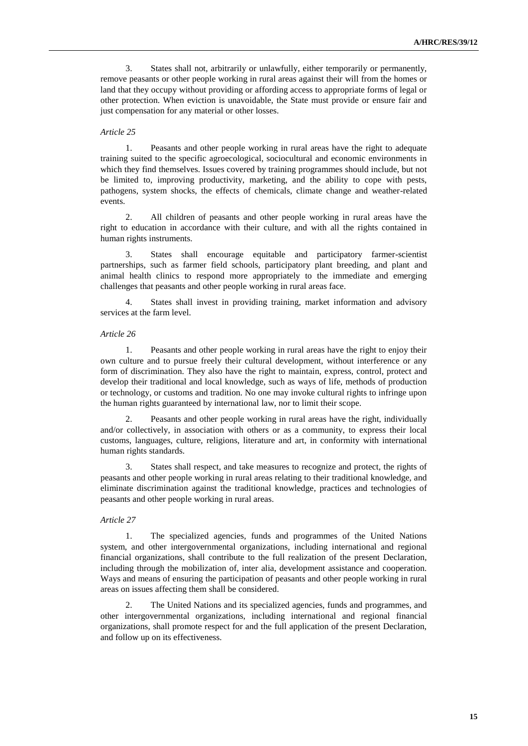3. States shall not, arbitrarily or unlawfully, either temporarily or permanently, remove peasants or other people working in rural areas against their will from the homes or land that they occupy without providing or affording access to appropriate forms of legal or other protection. When eviction is unavoidable, the State must provide or ensure fair and just compensation for any material or other losses.

## *Article 25*

1. Peasants and other people working in rural areas have the right to adequate training suited to the specific agroecological, sociocultural and economic environments in which they find themselves. Issues covered by training programmes should include, but not be limited to, improving productivity, marketing, and the ability to cope with pests, pathogens, system shocks, the effects of chemicals, climate change and weather-related events.

All children of peasants and other people working in rural areas have the right to education in accordance with their culture, and with all the rights contained in human rights instruments.

3. States shall encourage equitable and participatory farmer-scientist partnerships, such as farmer field schools, participatory plant breeding, and plant and animal health clinics to respond more appropriately to the immediate and emerging challenges that peasants and other people working in rural areas face.

4. States shall invest in providing training, market information and advisory services at the farm level.

## *Article 26*

1. Peasants and other people working in rural areas have the right to enjoy their own culture and to pursue freely their cultural development, without interference or any form of discrimination. They also have the right to maintain, express, control, protect and develop their traditional and local knowledge, such as ways of life, methods of production or technology, or customs and tradition. No one may invoke cultural rights to infringe upon the human rights guaranteed by international law, nor to limit their scope.

2. Peasants and other people working in rural areas have the right, individually and/or collectively, in association with others or as a community, to express their local customs, languages, culture, religions, literature and art, in conformity with international human rights standards.

3. States shall respect, and take measures to recognize and protect, the rights of peasants and other people working in rural areas relating to their traditional knowledge, and eliminate discrimination against the traditional knowledge, practices and technologies of peasants and other people working in rural areas.

## *Article 27*

1. The specialized agencies, funds and programmes of the United Nations system, and other intergovernmental organizations, including international and regional financial organizations, shall contribute to the full realization of the present Declaration, including through the mobilization of, inter alia, development assistance and cooperation. Ways and means of ensuring the participation of peasants and other people working in rural areas on issues affecting them shall be considered.

2. The United Nations and its specialized agencies, funds and programmes, and other intergovernmental organizations, including international and regional financial organizations, shall promote respect for and the full application of the present Declaration, and follow up on its effectiveness.